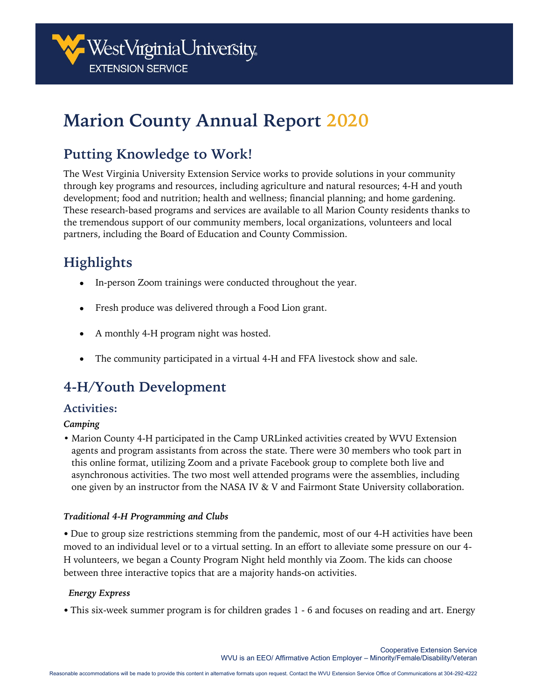

# **Marion County Annual Report 2020**

# **Putting Knowledge to Work!**

The West Virginia University Extension Service works to provide solutions in your community through key programs and resources, including agriculture and natural resources; 4-H and youth development; food and nutrition; health and wellness; financial planning; and home gardening. These research-based programs and services are available to all Marion County residents thanks to the tremendous support of our community members, local organizations, volunteers and local partners, including the Board of Education and County Commission.

# **Highlights**

- In-person Zoom trainings were conducted throughout the year.
- Fresh produce was delivered through a Food Lion grant.
- A monthly 4-H program night was hosted.
- The community participated in a virtual 4-H and FFA livestock show and sale.

# **4-H/Youth Development**

## **Activities:**

### *Camping*

• Marion County 4-H participated in the Camp URLinked activities created by WVU Extension agents and program assistants from across the state. There were 30 members who took part in this online format, utilizing Zoom and a private Facebook group to complete both live and asynchronous activities. The two most well attended programs were the assemblies, including one given by an instructor from the NASA IV & V and Fairmont State University collaboration.

### *Traditional 4-H Programming and Clubs*

• Due to group size restrictions stemming from the pandemic, most of our 4-H activities have been moved to an individual level or to a virtual setting. In an effort to alleviate some pressure on our 4- H volunteers, we began a County Program Night held monthly via Zoom. The kids can choose between three interactive topics that are a majority hands-on activities.

### *Energy Express*

• This six-week summer program is for children grades 1 - 6 and focuses on reading and art. Energy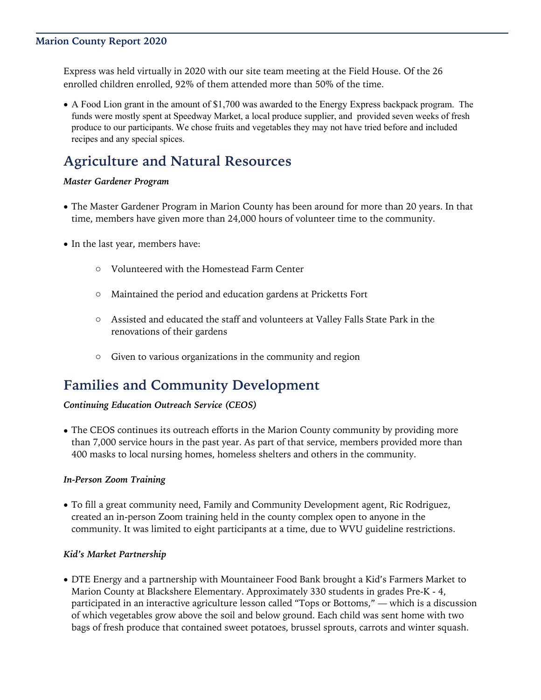### **Marion County Report 2020**

Express was held virtually in 2020 with our site team meeting at the Field House. Of the 26 enrolled children enrolled, 92% of them attended more than 50% of the time.

• A Food Lion grant in the amount of \$1,700 was awarded to the Energy Express backpack program. The funds were mostly spent at Speedway Market, a local produce supplier, and provided seven weeks of fresh produce to our participants. We chose fruits and vegetables they may not have tried before and included recipes and any special spices.

# **Agriculture and Natural Resources**

#### *Master Gardener Program*

- The Master Gardener Program in Marion County has been around for more than 20 years. In that time, members have given more than 24,000 hours of volunteer time to the community.
- In the last year, members have:
	- o Volunteered with the Homestead Farm Center
	- o Maintained the period and education gardens at Pricketts Fort
	- o Assisted and educated the staff and volunteers at Valley Falls State Park in the renovations of their gardens
	- o Given to various organizations in the community and region

# **Families and Community Development**

### *Continuing Education Outreach Service (CEOS)*

• The CEOS continues its outreach efforts in the Marion County community by providing more than 7,000 service hours in the past year. As part of that service, members provided more than 400 masks to local nursing homes, homeless shelters and others in the community.

#### *In-Person Zoom Training*

• To fill a great community need, Family and Community Development agent, Ric Rodriguez, created an in-person Zoom training held in the county complex open to anyone in the community. It was limited to eight participants at a time, due to WVU guideline restrictions.

#### *Kid's Market Partnership*

• DTE Energy and a partnership with Mountaineer Food Bank brought a Kid's Farmers Market to Marion County at Blackshere Elementary. Approximately 330 students in grades Pre-K - 4, participated in an interactive agriculture lesson called "Tops or Bottoms," — which is a discussion of which vegetables grow above the soil and below ground. Each child was sent home with two bags of fresh produce that contained sweet potatoes, brussel sprouts, carrots and winter squash.